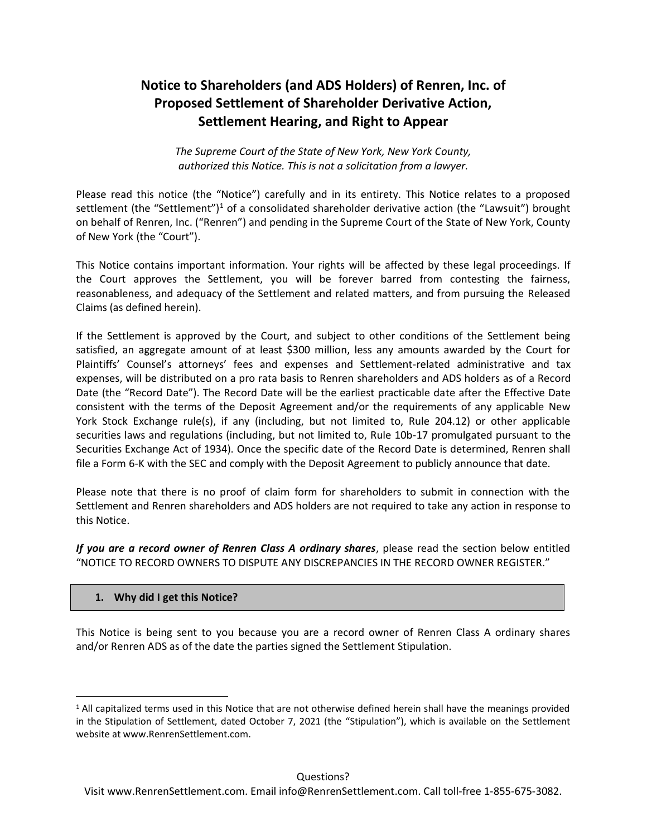# **Notice to Shareholders (and ADS Holders) of Renren, Inc. of Proposed Settlement of Shareholder Derivative Action, Settlement Hearing, and Right to Appear**

*The Supreme Court of the State of New York, New York County, authorized this Notice. This is not a solicitation from a lawyer.*

Please read this notice (the "Notice") carefully and in its entirety. This Notice relates to a proposed settlement (the "Settlement")<sup>1</sup> of a consolidated shareholder derivative action (the "Lawsuit") brought on behalf of Renren, Inc. ("Renren") and pending in the Supreme Court of the State of New York, County of New York (the "Court").

This Notice contains important information. Your rights will be affected by these legal proceedings. If the Court approves the Settlement, you will be forever barred from contesting the fairness, reasonableness, and adequacy of the Settlement and related matters, and from pursuing the Released Claims (as defined herein).

If the Settlement is approved by the Court, and subject to other conditions of the Settlement being satisfied, an aggregate amount of at least \$300 million, less any amounts awarded by the Court for Plaintiffs' Counsel's attorneys' fees and expenses and Settlement-related administrative and tax expenses, will be distributed on a pro rata basis to Renren shareholders and ADS holders as of a Record Date (the "Record Date"). The Record Date will be the earliest practicable date after the Effective Date consistent with the terms of the Deposit Agreement and/or the requirements of any applicable New York Stock Exchange rule(s), if any (including, but not limited to, Rule 204.12) or other applicable securities laws and regulations (including, but not limited to, Rule 10b-17 promulgated pursuant to the Securities Exchange Act of 1934). Once the specific date of the Record Date is determined, Renren shall file a Form 6-K with the SEC and comply with the Deposit Agreement to publicly announce that date.

Please note that there is no proof of claim form for shareholders to submit in connection with the Settlement and Renren shareholders and ADS holders are not required to take any action in response to this Notice.

*If you are a record owner of Renren Class A ordinary shares*, please read the section below entitled "NOTICE TO RECORD OWNERS TO DISPUTE ANY DISCREPANCIES IN THE RECORD OWNER REGISTER."

# **1. Why did I get this Notice?**

This Notice is being sent to you because you are a record owner of Renren Class A ordinary shares and/or Renren ADS as of the date the parties signed the Settlement Stipulation.

<sup>&</sup>lt;sup>1</sup> All capitalized terms used in this Notice that are not otherwise defined herein shall have the meanings provided in the Stipulation of Settlement, dated October 7, 2021 (the "Stipulation"), which is available on the Settlement website at www.RenrenSettlement.com.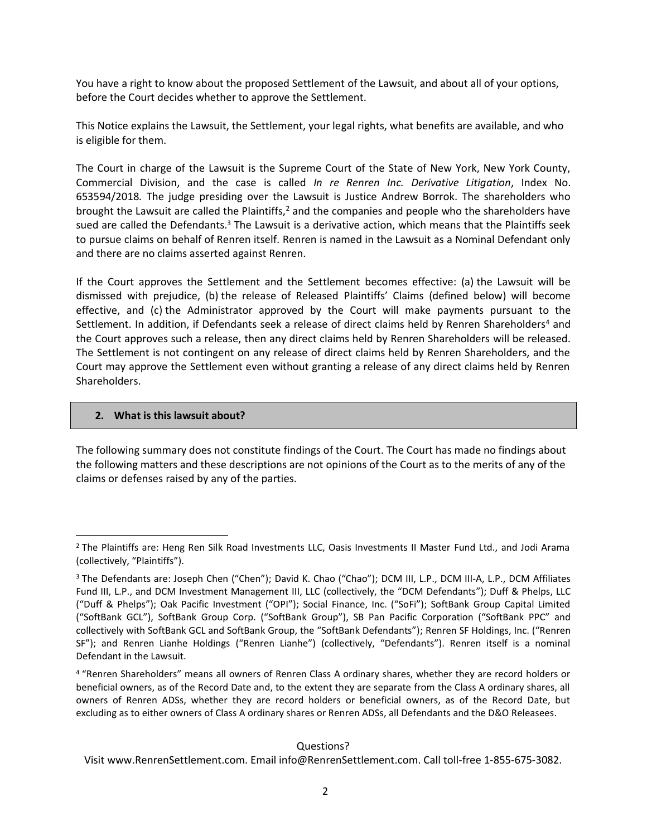You have a right to know about the proposed Settlement of the Lawsuit, and about all of your options, before the Court decides whether to approve the Settlement.

This Notice explains the Lawsuit, the Settlement, your legal rights, what benefits are available, and who is eligible for them.

The Court in charge of the Lawsuit is the Supreme Court of the State of New York, New York County, Commercial Division, and the case is called *In re Renren Inc. Derivative Litigation*, Index No. 653594/2018*.* The judge presiding over the Lawsuit is Justice Andrew Borrok. The shareholders who brought the Lawsuit are called the Plaintiffs, $<sup>2</sup>$  and the companies and people who the shareholders have</sup> sued are called the Defendants.<sup>3</sup> The Lawsuit is a derivative action, which means that the Plaintiffs seek to pursue claims on behalf of Renren itself. Renren is named in the Lawsuit as a Nominal Defendant only and there are no claims asserted against Renren.

If the Court approves the Settlement and the Settlement becomes effective: (a) the Lawsuit will be dismissed with prejudice, (b) the release of Released Plaintiffs' Claims (defined below) will become effective, and (c) the Administrator approved by the Court will make payments pursuant to the Settlement. In addition, if Defendants seek a release of direct claims held by Renren Shareholders<sup>4</sup> and the Court approves such a release, then any direct claims held by Renren Shareholders will be released. The Settlement is not contingent on any release of direct claims held by Renren Shareholders, and the Court may approve the Settlement even without granting a release of any direct claims held by Renren Shareholders.

#### **2. What is this lawsuit about?**

The following summary does not constitute findings of the Court. The Court has made no findings about the following matters and these descriptions are not opinions of the Court as to the merits of any of the claims or defenses raised by any of the parties.

Questions?

<sup>&</sup>lt;sup>2</sup> The Plaintiffs are: Heng Ren Silk Road Investments LLC, Oasis Investments II Master Fund Ltd., and Jodi Arama (collectively, "Plaintiffs").

<sup>&</sup>lt;sup>3</sup> The Defendants are: Joseph Chen ("Chen"); David K. Chao ("Chao"); DCM III, L.P., DCM III-A, L.P., DCM Affiliates Fund III, L.P., and DCM Investment Management III, LLC (collectively, the "DCM Defendants"); Duff & Phelps, LLC ("Duff & Phelps"); Oak Pacific Investment ("OPI"); Social Finance, Inc. ("SoFi"); SoftBank Group Capital Limited ("SoftBank GCL"), SoftBank Group Corp. ("SoftBank Group"), SB Pan Pacific Corporation ("SoftBank PPC" and collectively with SoftBank GCL and SoftBank Group, the "SoftBank Defendants"); Renren SF Holdings, Inc. ("Renren SF"); and Renren Lianhe Holdings ("Renren Lianhe") (collectively, "Defendants"). Renren itself is a nominal Defendant in the Lawsuit.

<sup>4</sup> "Renren Shareholders" means all owners of Renren Class A ordinary shares, whether they are record holders or beneficial owners, as of the Record Date and, to the extent they are separate from the Class A ordinary shares, all owners of Renren ADSs, whether they are record holders or beneficial owners, as of the Record Date, but excluding as to either owners of Class A ordinary shares or Renren ADSs, all Defendants and the D&O Releasees.

Visit www.RenrenSettlement.com. Email info@RenrenSettlement.com. Call toll-free 1-855-675-3082.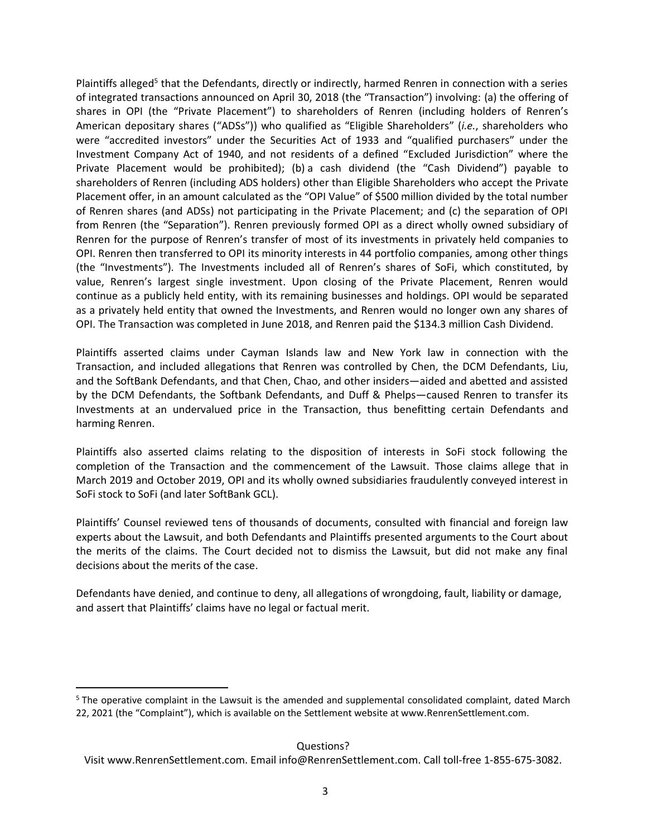Plaintiffs alleged<sup>5</sup> that the Defendants, directly or indirectly, harmed Renren in connection with a series of integrated transactions announced on April 30, 2018 (the "Transaction") involving: (a) the offering of shares in OPI (the "Private Placement") to shareholders of Renren (including holders of Renren's American depositary shares ("ADSs")) who qualified as "Eligible Shareholders" (*i.e.*, shareholders who were "accredited investors" under the Securities Act of 1933 and "qualified purchasers" under the Investment Company Act of 1940, and not residents of a defined "Excluded Jurisdiction" where the Private Placement would be prohibited); (b) a cash dividend (the "Cash Dividend") payable to shareholders of Renren (including ADS holders) other than Eligible Shareholders who accept the Private Placement offer, in an amount calculated as the "OPI Value" of \$500 million divided by the total number of Renren shares (and ADSs) not participating in the Private Placement; and (c) the separation of OPI from Renren (the "Separation"). Renren previously formed OPI as a direct wholly owned subsidiary of Renren for the purpose of Renren's transfer of most of its investments in privately held companies to OPI. Renren then transferred to OPI its minority interests in 44 portfolio companies, among other things (the "Investments"). The Investments included all of Renren's shares of SoFi, which constituted, by value, Renren's largest single investment. Upon closing of the Private Placement, Renren would continue as a publicly held entity, with its remaining businesses and holdings. OPI would be separated as a privately held entity that owned the Investments, and Renren would no longer own any shares of OPI. The Transaction was completed in June 2018, and Renren paid the \$134.3 million Cash Dividend.

Plaintiffs asserted claims under Cayman Islands law and New York law in connection with the Transaction, and included allegations that Renren was controlled by Chen, the DCM Defendants, Liu, and the SoftBank Defendants, and that Chen, Chao, and other insiders—aided and abetted and assisted by the DCM Defendants, the Softbank Defendants, and Duff & Phelps—caused Renren to transfer its Investments at an undervalued price in the Transaction, thus benefitting certain Defendants and harming Renren.

Plaintiffs also asserted claims relating to the disposition of interests in SoFi stock following the completion of the Transaction and the commencement of the Lawsuit. Those claims allege that in March 2019 and October 2019, OPI and its wholly owned subsidiaries fraudulently conveyed interest in SoFi stock to SoFi (and later SoftBank GCL).

Plaintiffs' Counsel reviewed tens of thousands of documents, consulted with financial and foreign law experts about the Lawsuit, and both Defendants and Plaintiffs presented arguments to the Court about the merits of the claims. The Court decided not to dismiss the Lawsuit, but did not make any final decisions about the merits of the case.

Defendants have denied, and continue to deny, all allegations of wrongdoing, fault, liability or damage, and assert that Plaintiffs' claims have no legal or factual merit.

Questions?

<sup>5</sup> The operative complaint in the Lawsuit is the amended and supplemental consolidated complaint, dated March 22, 2021 (the "Complaint"), which is available on the Settlement website at www.RenrenSettlement.com.

Visit www.RenrenSettlement.com. Email info@RenrenSettlement.com. Call toll-free 1-855-675-3082.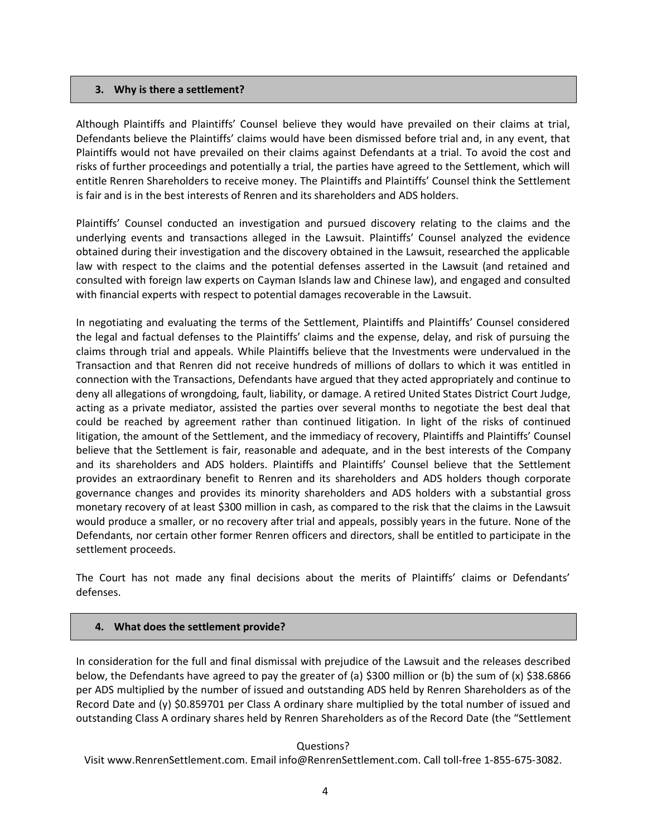### **3. Why is there a settlement?**

Although Plaintiffs and Plaintiffs' Counsel believe they would have prevailed on their claims at trial, Defendants believe the Plaintiffs' claims would have been dismissed before trial and, in any event, that Plaintiffs would not have prevailed on their claims against Defendants at a trial. To avoid the cost and risks of further proceedings and potentially a trial, the parties have agreed to the Settlement, which will entitle Renren Shareholders to receive money. The Plaintiffs and Plaintiffs' Counsel think the Settlement is fair and is in the best interests of Renren and its shareholders and ADS holders.

Plaintiffs' Counsel conducted an investigation and pursued discovery relating to the claims and the underlying events and transactions alleged in the Lawsuit. Plaintiffs' Counsel analyzed the evidence obtained during their investigation and the discovery obtained in the Lawsuit, researched the applicable law with respect to the claims and the potential defenses asserted in the Lawsuit (and retained and consulted with foreign law experts on Cayman Islands law and Chinese law), and engaged and consulted with financial experts with respect to potential damages recoverable in the Lawsuit.

In negotiating and evaluating the terms of the Settlement, Plaintiffs and Plaintiffs' Counsel considered the legal and factual defenses to the Plaintiffs' claims and the expense, delay, and risk of pursuing the claims through trial and appeals. While Plaintiffs believe that the Investments were undervalued in the Transaction and that Renren did not receive hundreds of millions of dollars to which it was entitled in connection with the Transactions, Defendants have argued that they acted appropriately and continue to deny all allegations of wrongdoing, fault, liability, or damage. A retired United States District Court Judge, acting as a private mediator, assisted the parties over several months to negotiate the best deal that could be reached by agreement rather than continued litigation. In light of the risks of continued litigation, the amount of the Settlement, and the immediacy of recovery, Plaintiffs and Plaintiffs' Counsel believe that the Settlement is fair, reasonable and adequate, and in the best interests of the Company and its shareholders and ADS holders. Plaintiffs and Plaintiffs' Counsel believe that the Settlement provides an extraordinary benefit to Renren and its shareholders and ADS holders though corporate governance changes and provides its minority shareholders and ADS holders with a substantial gross monetary recovery of at least \$300 million in cash, as compared to the risk that the claims in the Lawsuit would produce a smaller, or no recovery after trial and appeals, possibly years in the future. None of the Defendants, nor certain other former Renren officers and directors, shall be entitled to participate in the settlement proceeds.

The Court has not made any final decisions about the merits of Plaintiffs' claims or Defendants' defenses.

## **4. What does the settlement provide?**

In consideration for the full and final dismissal with prejudice of the Lawsuit and the releases described below, the Defendants have agreed to pay the greater of (a) \$300 million or (b) the sum of (x) \$38.6866 per ADS multiplied by the number of issued and outstanding ADS held by Renren Shareholders as of the Record Date and (y) \$0.859701 per Class A ordinary share multiplied by the total number of issued and outstanding Class A ordinary shares held by Renren Shareholders as of the Record Date (the "Settlement

## Questions?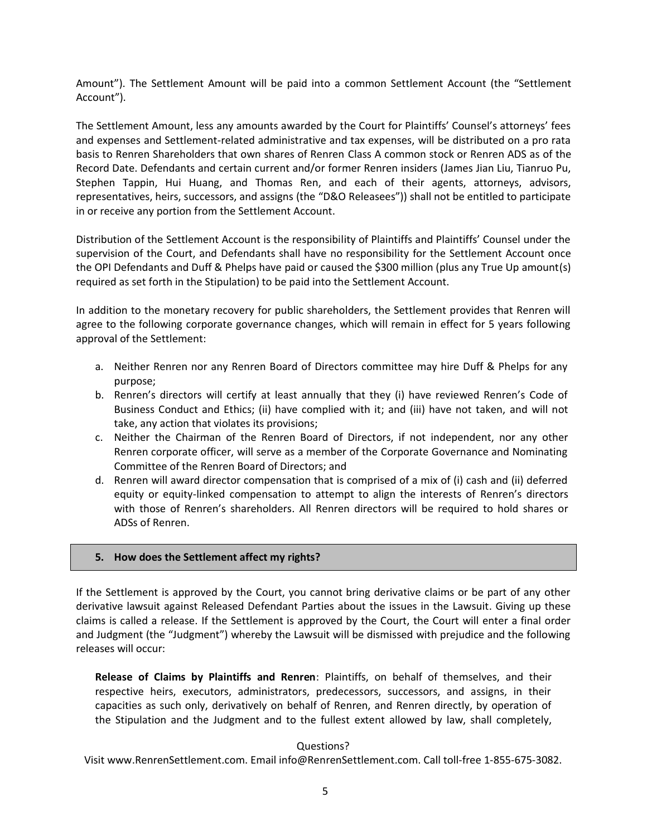Amount"). The Settlement Amount will be paid into a common Settlement Account (the "Settlement Account").

The Settlement Amount, less any amounts awarded by the Court for Plaintiffs' Counsel's attorneys' fees and expenses and Settlement-related administrative and tax expenses, will be distributed on a pro rata basis to Renren Shareholders that own shares of Renren Class A common stock or Renren ADS as of the Record Date. Defendants and certain current and/or former Renren insiders (James Jian Liu, Tianruo Pu, Stephen Tappin, Hui Huang, and Thomas Ren, and each of their agents, attorneys, advisors, representatives, heirs, successors, and assigns (the "D&O Releasees")) shall not be entitled to participate in or receive any portion from the Settlement Account.

Distribution of the Settlement Account is the responsibility of Plaintiffs and Plaintiffs' Counsel under the supervision of the Court, and Defendants shall have no responsibility for the Settlement Account once the OPI Defendants and Duff & Phelps have paid or caused the \$300 million (plus any True Up amount(s) required as set forth in the Stipulation) to be paid into the Settlement Account.

In addition to the monetary recovery for public shareholders, the Settlement provides that Renren will agree to the following corporate governance changes, which will remain in effect for 5 years following approval of the Settlement:

- a. Neither Renren nor any Renren Board of Directors committee may hire Duff & Phelps for any purpose;
- b. Renren's directors will certify at least annually that they (i) have reviewed Renren's Code of Business Conduct and Ethics; (ii) have complied with it; and (iii) have not taken, and will not take, any action that violates its provisions;
- c. Neither the Chairman of the Renren Board of Directors, if not independent, nor any other Renren corporate officer, will serve as a member of the Corporate Governance and Nominating Committee of the Renren Board of Directors; and
- d. Renren will award director compensation that is comprised of a mix of (i) cash and (ii) deferred equity or equity-linked compensation to attempt to align the interests of Renren's directors with those of Renren's shareholders. All Renren directors will be required to hold shares or ADSs of Renren.

## **5. How does the Settlement affect my rights?**

If the Settlement is approved by the Court, you cannot bring derivative claims or be part of any other derivative lawsuit against Released Defendant Parties about the issues in the Lawsuit. Giving up these claims is called a release. If the Settlement is approved by the Court, the Court will enter a final order and Judgment (the "Judgment") whereby the Lawsuit will be dismissed with prejudice and the following releases will occur:

**Release of Claims by Plaintiffs and Renren**: Plaintiffs, on behalf of themselves, and their respective heirs, executors, administrators, predecessors, successors, and assigns, in their capacities as such only, derivatively on behalf of Renren, and Renren directly, by operation of the Stipulation and the Judgment and to the fullest extent allowed by law, shall completely,

## Questions?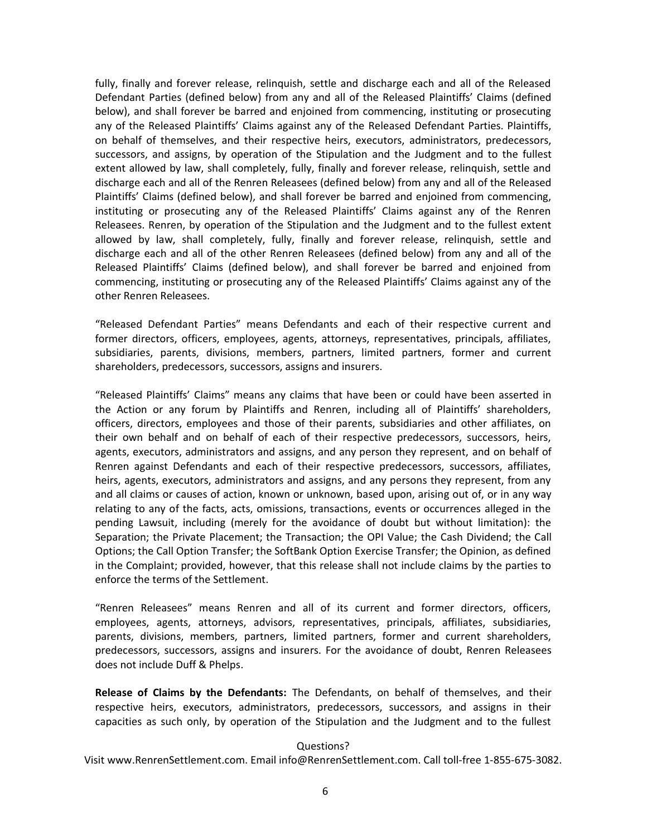fully, finally and forever release, relinquish, settle and discharge each and all of the Released Defendant Parties (defined below) from any and all of the Released Plaintiffs' Claims (defined below), and shall forever be barred and enjoined from commencing, instituting or prosecuting any of the Released Plaintiffs' Claims against any of the Released Defendant Parties. Plaintiffs, on behalf of themselves, and their respective heirs, executors, administrators, predecessors, successors, and assigns, by operation of the Stipulation and the Judgment and to the fullest extent allowed by law, shall completely, fully, finally and forever release, relinquish, settle and discharge each and all of the Renren Releasees (defined below) from any and all of the Released Plaintiffs' Claims (defined below), and shall forever be barred and enjoined from commencing, instituting or prosecuting any of the Released Plaintiffs' Claims against any of the Renren Releasees. Renren, by operation of the Stipulation and the Judgment and to the fullest extent allowed by law, shall completely, fully, finally and forever release, relinquish, settle and discharge each and all of the other Renren Releasees (defined below) from any and all of the Released Plaintiffs' Claims (defined below), and shall forever be barred and enjoined from commencing, instituting or prosecuting any of the Released Plaintiffs' Claims against any of the other Renren Releasees.

"Released Defendant Parties" means Defendants and each of their respective current and former directors, officers, employees, agents, attorneys, representatives, principals, affiliates, subsidiaries, parents, divisions, members, partners, limited partners, former and current shareholders, predecessors, successors, assigns and insurers.

"Released Plaintiffs' Claims" means any claims that have been or could have been asserted in the Action or any forum by Plaintiffs and Renren, including all of Plaintiffs' shareholders, officers, directors, employees and those of their parents, subsidiaries and other affiliates, on their own behalf and on behalf of each of their respective predecessors, successors, heirs, agents, executors, administrators and assigns, and any person they represent, and on behalf of Renren against Defendants and each of their respective predecessors, successors, affiliates, heirs, agents, executors, administrators and assigns, and any persons they represent, from any and all claims or causes of action, known or unknown, based upon, arising out of, or in any way relating to any of the facts, acts, omissions, transactions, events or occurrences alleged in the pending Lawsuit, including (merely for the avoidance of doubt but without limitation): the Separation; the Private Placement; the Transaction; the OPI Value; the Cash Dividend; the Call Options; the Call Option Transfer; the SoftBank Option Exercise Transfer; the Opinion, as defined in the Complaint; provided, however, that this release shall not include claims by the parties to enforce the terms of the Settlement.

"Renren Releasees" means Renren and all of its current and former directors, officers, employees, agents, attorneys, advisors, representatives, principals, affiliates, subsidiaries, parents, divisions, members, partners, limited partners, former and current shareholders, predecessors, successors, assigns and insurers. For the avoidance of doubt, Renren Releasees does not include Duff & Phelps.

**Release of Claims by the Defendants:** The Defendants, on behalf of themselves, and their respective heirs, executors, administrators, predecessors, successors, and assigns in their capacities as such only, by operation of the Stipulation and the Judgment and to the fullest

#### Questions?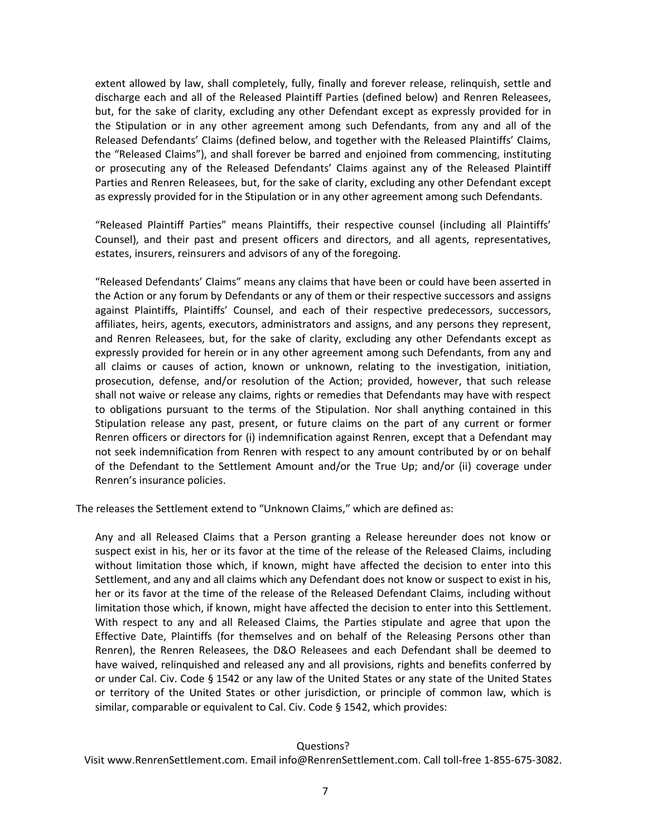extent allowed by law, shall completely, fully, finally and forever release, relinquish, settle and discharge each and all of the Released Plaintiff Parties (defined below) and Renren Releasees, but, for the sake of clarity, excluding any other Defendant except as expressly provided for in the Stipulation or in any other agreement among such Defendants, from any and all of the Released Defendants' Claims (defined below, and together with the Released Plaintiffs' Claims, the "Released Claims"), and shall forever be barred and enjoined from commencing, instituting or prosecuting any of the Released Defendants' Claims against any of the Released Plaintiff Parties and Renren Releasees, but, for the sake of clarity, excluding any other Defendant except as expressly provided for in the Stipulation or in any other agreement among such Defendants.

"Released Plaintiff Parties" means Plaintiffs, their respective counsel (including all Plaintiffs' Counsel), and their past and present officers and directors, and all agents, representatives, estates, insurers, reinsurers and advisors of any of the foregoing.

"Released Defendants' Claims" means any claims that have been or could have been asserted in the Action or any forum by Defendants or any of them or their respective successors and assigns against Plaintiffs, Plaintiffs' Counsel, and each of their respective predecessors, successors, affiliates, heirs, agents, executors, administrators and assigns, and any persons they represent, and Renren Releasees, but, for the sake of clarity, excluding any other Defendants except as expressly provided for herein or in any other agreement among such Defendants, from any and all claims or causes of action, known or unknown, relating to the investigation, initiation, prosecution, defense, and/or resolution of the Action; provided, however, that such release shall not waive or release any claims, rights or remedies that Defendants may have with respect to obligations pursuant to the terms of the Stipulation. Nor shall anything contained in this Stipulation release any past, present, or future claims on the part of any current or former Renren officers or directors for (i) indemnification against Renren, except that a Defendant may not seek indemnification from Renren with respect to any amount contributed by or on behalf of the Defendant to the Settlement Amount and/or the True Up; and/or (ii) coverage under Renren's insurance policies.

The releases the Settlement extend to "Unknown Claims," which are defined as:

Any and all Released Claims that a Person granting a Release hereunder does not know or suspect exist in his, her or its favor at the time of the release of the Released Claims, including without limitation those which, if known, might have affected the decision to enter into this Settlement, and any and all claims which any Defendant does not know or suspect to exist in his, her or its favor at the time of the release of the Released Defendant Claims, including without limitation those which, if known, might have affected the decision to enter into this Settlement. With respect to any and all Released Claims, the Parties stipulate and agree that upon the Effective Date, Plaintiffs (for themselves and on behalf of the Releasing Persons other than Renren), the Renren Releasees, the D&O Releasees and each Defendant shall be deemed to have waived, relinquished and released any and all provisions, rights and benefits conferred by or under Cal. Civ. Code § 1542 or any law of the United States or any state of the United States or territory of the United States or other jurisdiction, or principle of common law, which is similar, comparable or equivalent to Cal. Civ. Code § 1542, which provides:

#### Questions?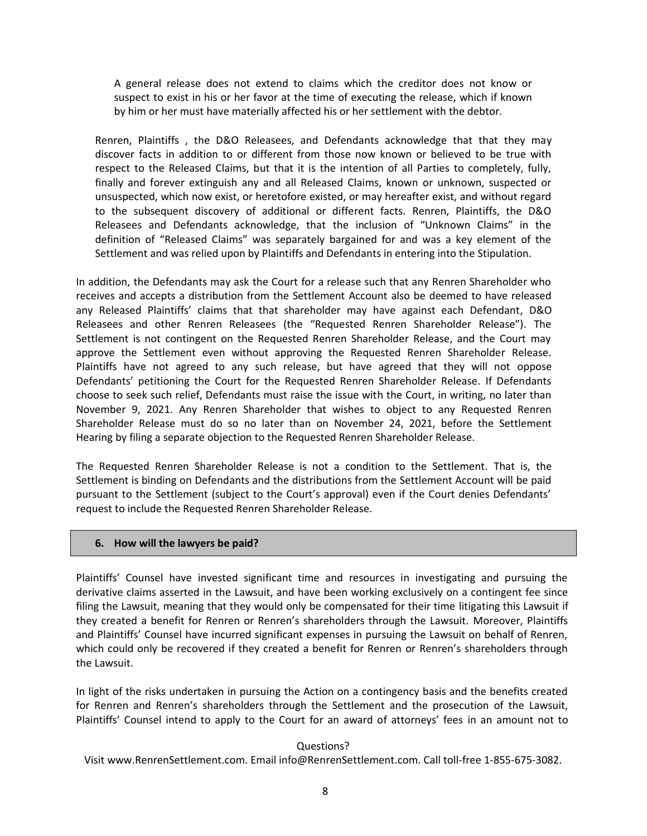A general release does not extend to claims which the creditor does not know or suspect to exist in his or her favor at the time of executing the release, which if known by him or her must have materially affected his or her settlement with the debtor.

Renren, Plaintiffs , the D&O Releasees, and Defendants acknowledge that that they may discover facts in addition to or different from those now known or believed to be true with respect to the Released Claims, but that it is the intention of all Parties to completely, fully, finally and forever extinguish any and all Released Claims, known or unknown, suspected or unsuspected, which now exist, or heretofore existed, or may hereafter exist, and without regard to the subsequent discovery of additional or different facts. Renren, Plaintiffs, the D&O Releasees and Defendants acknowledge, that the inclusion of "Unknown Claims" in the definition of "Released Claims" was separately bargained for and was a key element of the Settlement and was relied upon by Plaintiffs and Defendants in entering into the Stipulation.

In addition, the Defendants may ask the Court for a release such that any Renren Shareholder who receives and accepts a distribution from the Settlement Account also be deemed to have released any Released Plaintiffs' claims that that shareholder may have against each Defendant, D&O Releasees and other Renren Releasees (the "Requested Renren Shareholder Release"). The Settlement is not contingent on the Requested Renren Shareholder Release, and the Court may approve the Settlement even without approving the Requested Renren Shareholder Release. Plaintiffs have not agreed to any such release, but have agreed that they will not oppose Defendants' petitioning the Court for the Requested Renren Shareholder Release. If Defendants choose to seek such relief, Defendants must raise the issue with the Court, in writing, no later than November 9, 2021. Any Renren Shareholder that wishes to object to any Requested Renren Shareholder Release must do so no later than on November 24, 2021, before the Settlement Hearing by filing a separate objection to the Requested Renren Shareholder Release.

The Requested Renren Shareholder Release is not a condition to the Settlement. That is, the Settlement is binding on Defendants and the distributions from the Settlement Account will be paid pursuant to the Settlement (subject to the Court's approval) even if the Court denies Defendants' request to include the Requested Renren Shareholder Release.

#### **6. How will the lawyers be paid?**

Plaintiffs' Counsel have invested significant time and resources in investigating and pursuing the derivative claims asserted in the Lawsuit, and have been working exclusively on a contingent fee since filing the Lawsuit, meaning that they would only be compensated for their time litigating this Lawsuit if they created a benefit for Renren or Renren's shareholders through the Lawsuit. Moreover, Plaintiffs and Plaintiffs' Counsel have incurred significant expenses in pursuing the Lawsuit on behalf of Renren, which could only be recovered if they created a benefit for Renren or Renren's shareholders through the Lawsuit.

In light of the risks undertaken in pursuing the Action on a contingency basis and the benefits created for Renren and Renren's shareholders through the Settlement and the prosecution of the Lawsuit, Plaintiffs' Counsel intend to apply to the Court for an award of attorneys' fees in an amount not to

#### Questions?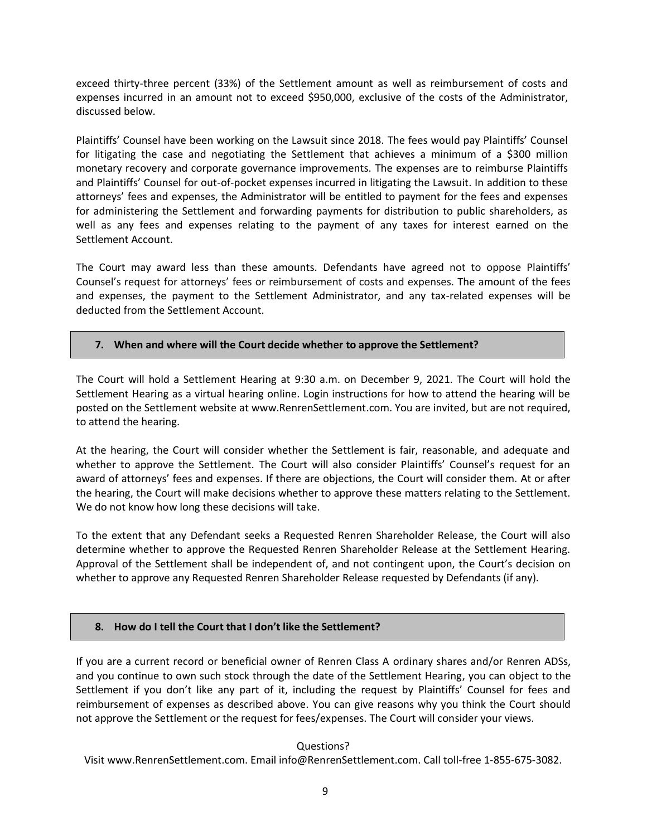exceed thirty-three percent (33%) of the Settlement amount as well as reimbursement of costs and expenses incurred in an amount not to exceed \$950,000, exclusive of the costs of the Administrator, discussed below.

Plaintiffs' Counsel have been working on the Lawsuit since 2018. The fees would pay Plaintiffs' Counsel for litigating the case and negotiating the Settlement that achieves a minimum of a \$300 million monetary recovery and corporate governance improvements. The expenses are to reimburse Plaintiffs and Plaintiffs' Counsel for out-of-pocket expenses incurred in litigating the Lawsuit. In addition to these attorneys' fees and expenses, the Administrator will be entitled to payment for the fees and expenses for administering the Settlement and forwarding payments for distribution to public shareholders, as well as any fees and expenses relating to the payment of any taxes for interest earned on the Settlement Account.

The Court may award less than these amounts. Defendants have agreed not to oppose Plaintiffs' Counsel's request for attorneys' fees or reimbursement of costs and expenses. The amount of the fees and expenses, the payment to the Settlement Administrator, and any tax-related expenses will be deducted from the Settlement Account.

## **7. When and where will the Court decide whether to approve the Settlement?**

The Court will hold a Settlement Hearing at 9:30 a.m. on December 9, 2021. The Court will hold the Settlement Hearing as a virtual hearing online. Login instructions for how to attend the hearing will be posted on the Settlement website at www.RenrenSettlement.com. You are invited, but are not required, to attend the hearing.

At the hearing, the Court will consider whether the Settlement is fair, reasonable, and adequate and whether to approve the Settlement. The Court will also consider Plaintiffs' Counsel's request for an award of attorneys' fees and expenses. If there are objections, the Court will consider them. At or after the hearing, the Court will make decisions whether to approve these matters relating to the Settlement. We do not know how long these decisions will take.

To the extent that any Defendant seeks a Requested Renren Shareholder Release, the Court will also determine whether to approve the Requested Renren Shareholder Release at the Settlement Hearing. Approval of the Settlement shall be independent of, and not contingent upon, the Court's decision on whether to approve any Requested Renren Shareholder Release requested by Defendants (if any).

# **8. How do I tell the Court that I don't like the Settlement?**

If you are a current record or beneficial owner of Renren Class A ordinary shares and/or Renren ADSs, and you continue to own such stock through the date of the Settlement Hearing, you can object to the Settlement if you don't like any part of it, including the request by Plaintiffs' Counsel for fees and reimbursement of expenses as described above. You can give reasons why you think the Court should not approve the Settlement or the request for fees/expenses. The Court will consider your views.

## Questions?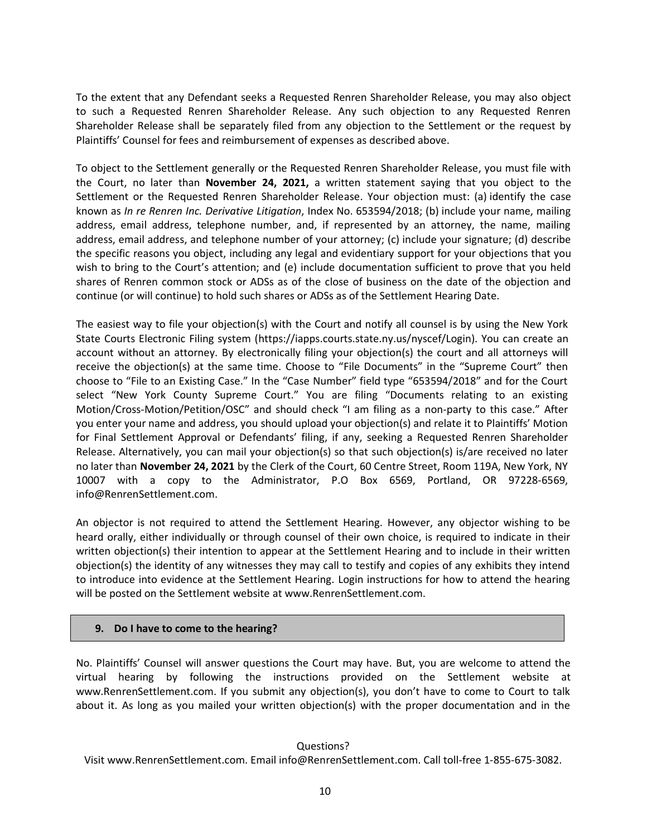To the extent that any Defendant seeks a Requested Renren Shareholder Release, you may also object to such a Requested Renren Shareholder Release. Any such objection to any Requested Renren Shareholder Release shall be separately filed from any objection to the Settlement or the request by Plaintiffs' Counsel for fees and reimbursement of expenses as described above.

To object to the Settlement generally or the Requested Renren Shareholder Release, you must file with the Court, no later than **November 24, 2021,** a written statement saying that you object to the Settlement or the Requested Renren Shareholder Release. Your objection must: (a) identify the case known as *In re Renren Inc. Derivative Litigation*, Index No. 653594/2018; (b) include your name, mailing address, email address, telephone number, and, if represented by an attorney, the name, mailing address, email address, and telephone number of your attorney; (c) include your signature; (d) describe the specific reasons you object, including any legal and evidentiary support for your objections that you wish to bring to the Court's attention; and (e) include documentation sufficient to prove that you held shares of Renren common stock or ADSs as of the close of business on the date of the objection and continue (or will continue) to hold such shares or ADSs as of the Settlement Hearing Date.

The easiest way to file your objection(s) with the Court and notify all counsel is by using the New York State Courts Electronic Filing system (https://iapps.courts.state.ny.us/nyscef/Login). You can create an account without an attorney. By electronically filing your objection(s) the court and all attorneys will receive the objection(s) at the same time. Choose to "File Documents" in the "Supreme Court" then choose to "File to an Existing Case." In the "Case Number" field type "653594/2018" and for the Court select "New York County Supreme Court." You are filing "Documents relating to an existing Motion/Cross-Motion/Petition/OSC" and should check "I am filing as a non-party to this case." After you enter your name and address, you should upload your objection(s) and relate it to Plaintiffs' Motion for Final Settlement Approval or Defendants' filing, if any, seeking a Requested Renren Shareholder Release. Alternatively, you can mail your objection(s) so that such objection(s) is/are received no later no later than **November 24, 2021** by the Clerk of the Court, 60 Centre Street, Room 119A, New York, NY 10007 with a copy to the Administrator, P.O Box 6569, Portland, OR 97228-6569, info@RenrenSettlement.com.

An objector is not required to attend the Settlement Hearing. However, any objector wishing to be heard orally, either individually or through counsel of their own choice, is required to indicate in their written objection(s) their intention to appear at the Settlement Hearing and to include in their written objection(s) the identity of any witnesses they may call to testify and copies of any exhibits they intend to introduce into evidence at the Settlement Hearing. Login instructions for how to attend the hearing will be posted on the Settlement website at www.RenrenSettlement.com.

## **9. Do I have to come to the hearing?**

No. Plaintiffs' Counsel will answer questions the Court may have. But, you are welcome to attend the virtual hearing by following the instructions provided on the Settlement website at www.RenrenSettlement.com. If you submit any objection(s), you don't have to come to Court to talk about it. As long as you mailed your written objection(s) with the proper documentation and in the